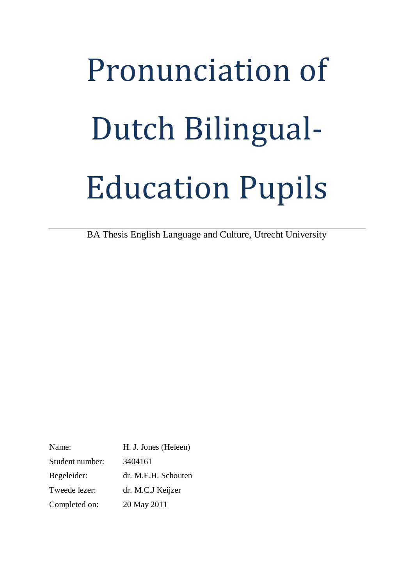# Pronunciation of Dutch Bilingual-Education Pupils

BA Thesis English Language and Culture, Utrecht University

Name: H. J. Jones (Heleen) Student number: 3404161 Begeleider: dr. M.E.H. Schouten Tweede lezer: dr. M.C.J Keijzer Completed on: 20 May 2011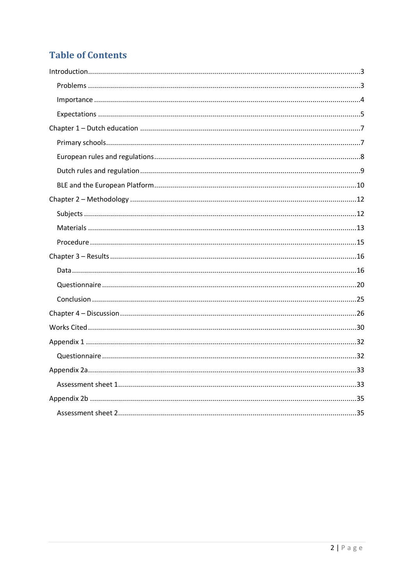## **Table of Contents**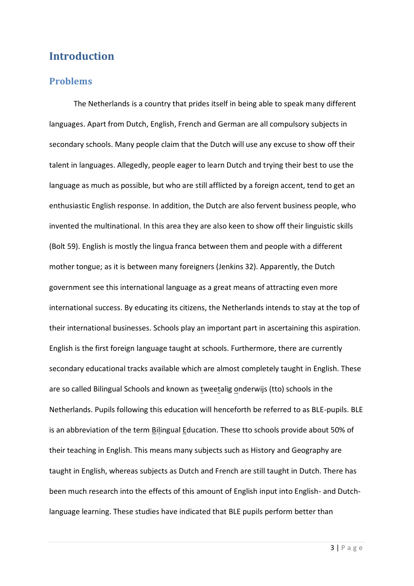## <span id="page-2-0"></span>**Introduction**

#### <span id="page-2-1"></span>**Problems**

The Netherlands is a country that prides itself in being able to speak many different languages. Apart from Dutch, English, French and German are all compulsory subjects in secondary schools. Many people claim that the Dutch will use any excuse to show off their talent in languages. Allegedly, people eager to learn Dutch and trying their best to use the language as much as possible, but who are still afflicted by a foreign accent, tend to get an enthusiastic English response. In addition, the Dutch are also fervent business people, who invented the multinational. In this area they are also keen to show off their linguistic skills (Bolt 59). English is mostly the lingua franca between them and people with a different mother tongue; as it is between many foreigners (Jenkins 32). Apparently, the Dutch government see this international language as a great means of attracting even more international success. By educating its citizens, the Netherlands intends to stay at the top of their international businesses. Schools play an important part in ascertaining this aspiration. English is the first foreign language taught at schools. Furthermore, there are currently secondary educational tracks available which are almost completely taught in English. These are so called Bilingual Schools and known as tweetalig onderwijs (tto) schools in the Netherlands. Pupils following this education will henceforth be referred to as BLE-pupils. BLE is an abbreviation of the term Bilingual Education. These tto schools provide about 50% of their teaching in English. This means many subjects such as History and Geography are taught in English, whereas subjects as Dutch and French are still taught in Dutch. There has been much research into the effects of this amount of English input into English- and Dutchlanguage learning. These studies have indicated that BLE pupils perform better than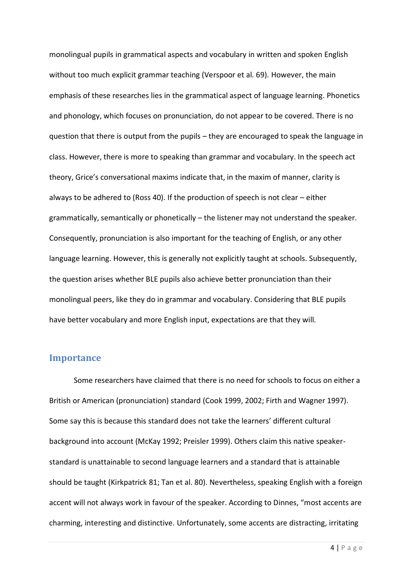monolingual pupils in grammatical aspects and vocabulary in written and spoken English without too much explicit grammar teaching (Verspoor et al. 69). However, the main emphasis of these researches lies in the grammatical aspect of language learning. Phonetics and phonology, which focuses on pronunciation, do not appear to be covered. There is no question that there is output from the pupils – they are encouraged to speak the language in class. However, there is more to speaking than grammar and vocabulary. In the speech act theory, Grice's conversational maxims indicate that, in the maxim of manner, clarity is always to be adhered to (Ross 40). If the production of speech is not clear – either grammatically, semantically or phonetically – the listener may not understand the speaker. Consequently, pronunciation is also important for the teaching of English, or any other language learning. However, this is generally not explicitly taught at schools. Subsequently, the question arises whether BLE pupils also achieve better pronunciation than their monolingual peers, like they do in grammar and vocabulary. Considering that BLE pupils have better vocabulary and more English input, expectations are that they will.

#### <span id="page-3-0"></span>**Importance**

Some researchers have claimed that there is no need for schools to focus on either a British or American (pronunciation) standard (Cook 1999, 2002; Firth and Wagner 1997). Some say this is because this standard does not take the learners' different cultural background into account (McKay 1992; Preisler 1999). Others claim this native speakerstandard is unattainable to second language learners and a standard that is attainable should be taught (Kirkpatrick 81; Tan et al. 80). Nevertheless, speaking English with a foreign accent will not always work in favour of the speaker. According to Dinnes, "most accents are charming, interesting and distinctive. Unfortunately, some accents are distracting, irritating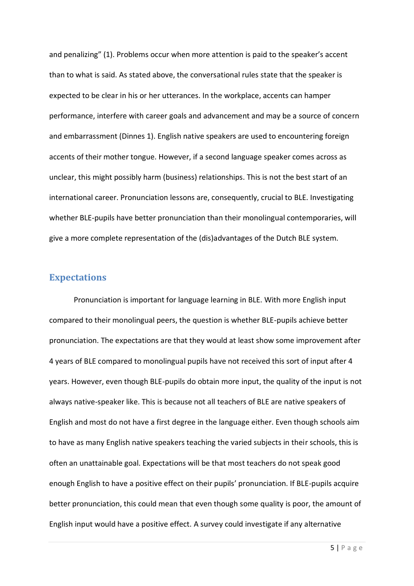and penalizing" (1). Problems occur when more attention is paid to the speaker's accent than to what is said. As stated above, the conversational rules state that the speaker is expected to be clear in his or her utterances. In the workplace, accents can hamper performance, interfere with career goals and advancement and may be a source of concern and embarrassment (Dinnes 1). English native speakers are used to encountering foreign accents of their mother tongue. However, if a second language speaker comes across as unclear, this might possibly harm (business) relationships. This is not the best start of an international career. Pronunciation lessons are, consequently, crucial to BLE. Investigating whether BLE-pupils have better pronunciation than their monolingual contemporaries, will give a more complete representation of the (dis)advantages of the Dutch BLE system.

#### <span id="page-4-0"></span>**Expectations**

Pronunciation is important for language learning in BLE. With more English input compared to their monolingual peers, the question is whether BLE-pupils achieve better pronunciation. The expectations are that they would at least show some improvement after 4 years of BLE compared to monolingual pupils have not received this sort of input after 4 years. However, even though BLE-pupils do obtain more input, the quality of the input is not always native-speaker like. This is because not all teachers of BLE are native speakers of English and most do not have a first degree in the language either. Even though schools aim to have as many English native speakers teaching the varied subjects in their schools, this is often an unattainable goal. Expectations will be that most teachers do not speak good enough English to have a positive effect on their pupils' pronunciation. If BLE-pupils acquire better pronunciation, this could mean that even though some quality is poor, the amount of English input would have a positive effect. A survey could investigate if any alternative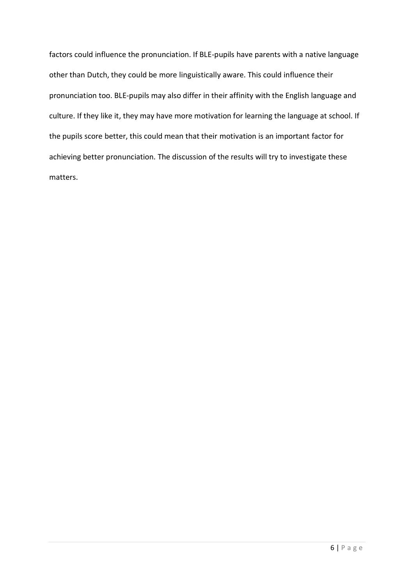factors could influence the pronunciation. If BLE-pupils have parents with a native language other than Dutch, they could be more linguistically aware. This could influence their pronunciation too. BLE-pupils may also differ in their affinity with the English language and culture. If they like it, they may have more motivation for learning the language at school. If the pupils score better, this could mean that their motivation is an important factor for achieving better pronunciation. The discussion of the results will try to investigate these matters.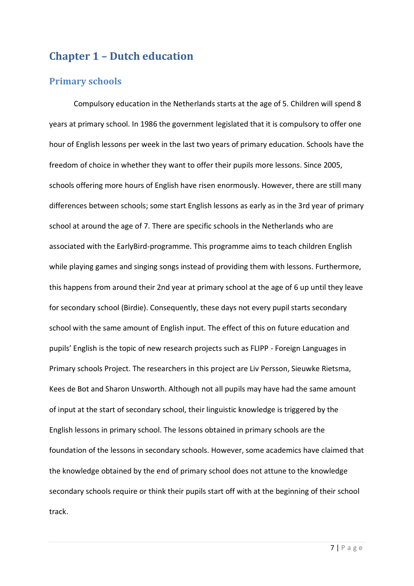## <span id="page-6-0"></span>**Chapter 1 – Dutch education**

#### <span id="page-6-1"></span>**Primary schools**

Compulsory education in the Netherlands starts at the age of 5. Children will spend 8 years at primary school. In 1986 the government legislated that it is compulsory to offer one hour of English lessons per week in the last two years of primary education. Schools have the freedom of choice in whether they want to offer their pupils more lessons. Since 2005, schools offering more hours of English have risen enormously. However, there are still many differences between schools; some start English lessons as early as in the 3rd year of primary school at around the age of 7. There are specific schools in the Netherlands who are associated with the EarlyBird-programme. This programme aims to teach children English while playing games and singing songs instead of providing them with lessons. Furthermore, this happens from around their 2nd year at primary school at the age of 6 up until they leave for secondary school (Birdie). Consequently, these days not every pupil starts secondary school with the same amount of English input. The effect of this on future education and pupils' English is the topic of new research projects such as FLIPP - Foreign Languages in Primary schools Project. The researchers in this project are Liv Persson, Sieuwke Rietsma, Kees de Bot and Sharon Unsworth. Although not all pupils may have had the same amount of input at the start of secondary school, their linguistic knowledge is triggered by the English lessons in primary school. The lessons obtained in primary schools are the foundation of the lessons in secondary schools. However, some academics have claimed that the knowledge obtained by the end of primary school does not attune to the knowledge secondary schools require or think their pupils start off with at the beginning of their school track.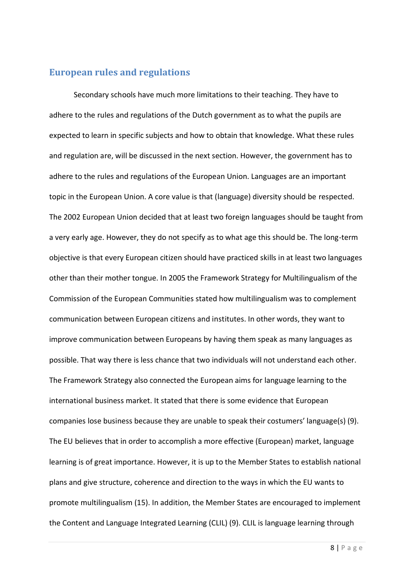#### <span id="page-7-0"></span>**European rules and regulations**

Secondary schools have much more limitations to their teaching. They have to adhere to the rules and regulations of the Dutch government as to what the pupils are expected to learn in specific subjects and how to obtain that knowledge. What these rules and regulation are, will be discussed in the next section. However, the government has to adhere to the rules and regulations of the European Union. Languages are an important topic in the European Union. A core value is that (language) diversity should be respected. The 2002 European Union decided that at least two foreign languages should be taught from a very early age. However, they do not specify as to what age this should be. The long-term objective is that every European citizen should have practiced skills in at least two languages other than their mother tongue. In 2005 the Framework Strategy for Multilingualism of the Commission of the European Communities stated how multilingualism was to complement communication between European citizens and institutes. In other words, they want to improve communication between Europeans by having them speak as many languages as possible. That way there is less chance that two individuals will not understand each other. The Framework Strategy also connected the European aims for language learning to the international business market. It stated that there is some evidence that European companies lose business because they are unable to speak their costumers' language(s) (9). The EU believes that in order to accomplish a more effective (European) market, language learning is of great importance. However, it is up to the Member States to establish national plans and give structure, coherence and direction to the ways in which the EU wants to promote multilingualism (15). In addition, the Member States are encouraged to implement the Content and Language Integrated Learning (CLIL) (9). CLIL is language learning through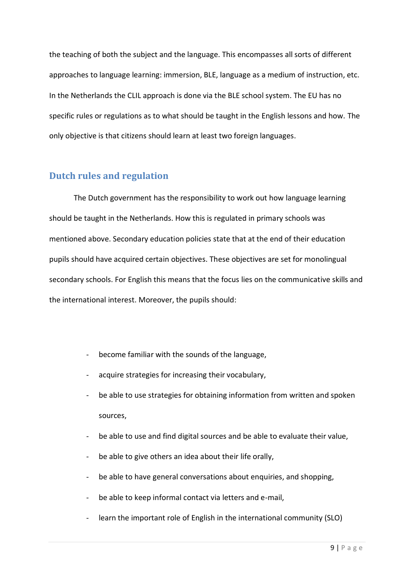the teaching of both the subject and the language. This encompasses all sorts of different approaches to language learning: immersion, BLE, language as a medium of instruction, etc. In the Netherlands the CLIL approach is done via the BLE school system. The EU has no specific rules or regulations as to what should be taught in the English lessons and how. The only objective is that citizens should learn at least two foreign languages.

#### <span id="page-8-0"></span>**Dutch rules and regulation**

The Dutch government has the responsibility to work out how language learning should be taught in the Netherlands. How this is regulated in primary schools was mentioned above. Secondary education policies state that at the end of their education pupils should have acquired certain objectives. These objectives are set for monolingual secondary schools. For English this means that the focus lies on the communicative skills and the international interest. Moreover, the pupils should:

- become familiar with the sounds of the language,
- acquire strategies for increasing their vocabulary,
- be able to use strategies for obtaining information from written and spoken sources,
- be able to use and find digital sources and be able to evaluate their value,
- be able to give others an idea about their life orally,
- be able to have general conversations about enquiries, and shopping,
- be able to keep informal contact via letters and e-mail,
- learn the important role of English in the international community (SLO)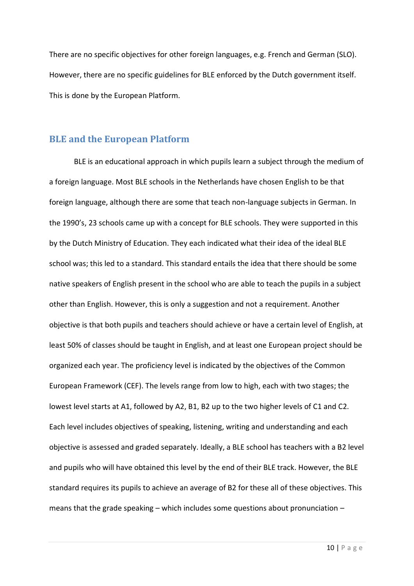There are no specific objectives for other foreign languages, e.g. French and German (SLO). However, there are no specific guidelines for BLE enforced by the Dutch government itself. This is done by the European Platform.

#### <span id="page-9-0"></span>**BLE and the European Platform**

BLE is an educational approach in which pupils learn a subject through the medium of a foreign language. Most BLE schools in the Netherlands have chosen English to be that foreign language, although there are some that teach non-language subjects in German. In the 1990's, 23 schools came up with a concept for BLE schools. They were supported in this by the Dutch Ministry of Education. They each indicated what their idea of the ideal BLE school was; this led to a standard. This standard entails the idea that there should be some native speakers of English present in the school who are able to teach the pupils in a subject other than English. However, this is only a suggestion and not a requirement. Another objective is that both pupils and teachers should achieve or have a certain level of English, at least 50% of classes should be taught in English, and at least one European project should be organized each year. The proficiency level is indicated by the objectives of the Common European Framework (CEF). The levels range from low to high, each with two stages; the lowest level starts at A1, followed by A2, B1, B2 up to the two higher levels of C1 and C2. Each level includes objectives of speaking, listening, writing and understanding and each objective is assessed and graded separately. Ideally, a BLE school has teachers with a B2 level and pupils who will have obtained this level by the end of their BLE track. However, the BLE standard requires its pupils to achieve an average of B2 for these all of these objectives. This means that the grade speaking – which includes some questions about pronunciation –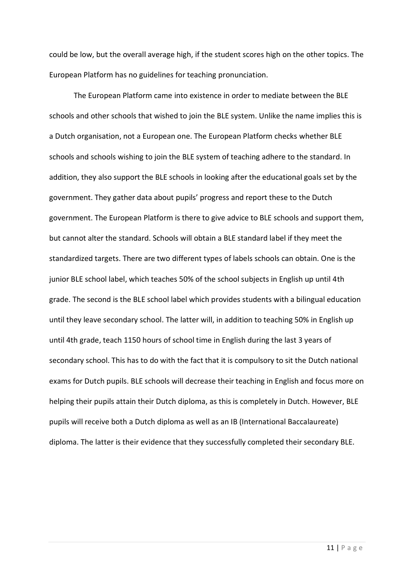could be low, but the overall average high, if the student scores high on the other topics. The European Platform has no guidelines for teaching pronunciation.

The European Platform came into existence in order to mediate between the BLE schools and other schools that wished to join the BLE system. Unlike the name implies this is a Dutch organisation, not a European one. The European Platform checks whether BLE schools and schools wishing to join the BLE system of teaching adhere to the standard. In addition, they also support the BLE schools in looking after the educational goals set by the government. They gather data about pupils' progress and report these to the Dutch government. The European Platform is there to give advice to BLE schools and support them, but cannot alter the standard. Schools will obtain a BLE standard label if they meet the standardized targets. There are two different types of labels schools can obtain. One is the junior BLE school label, which teaches 50% of the school subjects in English up until 4th grade. The second is the BLE school label which provides students with a bilingual education until they leave secondary school. The latter will, in addition to teaching 50% in English up until 4th grade, teach 1150 hours of school time in English during the last 3 years of secondary school. This has to do with the fact that it is compulsory to sit the Dutch national exams for Dutch pupils. BLE schools will decrease their teaching in English and focus more on helping their pupils attain their Dutch diploma, as this is completely in Dutch. However, BLE pupils will receive both a Dutch diploma as well as an IB (International Baccalaureate) diploma. The latter is their evidence that they successfully completed their secondary BLE.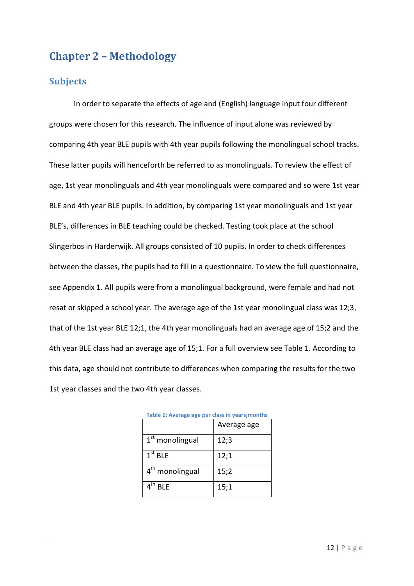## <span id="page-11-0"></span>**Chapter 2 – Methodology**

#### <span id="page-11-1"></span>**Subjects**

In order to separate the effects of age and (English) language input four different groups were chosen for this research. The influence of input alone was reviewed by comparing 4th year BLE pupils with 4th year pupils following the monolingual school tracks. These latter pupils will henceforth be referred to as monolinguals. To review the effect of age, 1st year monolinguals and 4th year monolinguals were compared and so were 1st year BLE and 4th year BLE pupils. In addition, by comparing 1st year monolinguals and 1st year BLE's, differences in BLE teaching could be checked. Testing took place at the school Slingerbos in Harderwijk. All groups consisted of 10 pupils. In order to check differences between the classes, the pupils had to fill in a questionnaire. To view the full questionnaire, see Appendix 1. All pupils were from a monolingual background, were female and had not resat or skipped a school year. The average age of the 1st year monolingual class was 12;3, that of the 1st year BLE 12;1, the 4th year monolinguals had an average age of 15;2 and the 4th year BLE class had an average age of 15;1. For a full overview see Table 1. According to this data, age should not contribute to differences when comparing the results for the two 1st year classes and the two 4th year classes.

|                             | Average age |
|-----------------------------|-------------|
| $1st$ monolingual           | 12;3        |
| $1st$ BLE                   | 12;1        |
| 4 <sup>th</sup> monolingual | 15;2        |
| <b>BIF</b>                  | 15;1        |

| Table 1: Average age per class in years; months |  |  |  |
|-------------------------------------------------|--|--|--|
|-------------------------------------------------|--|--|--|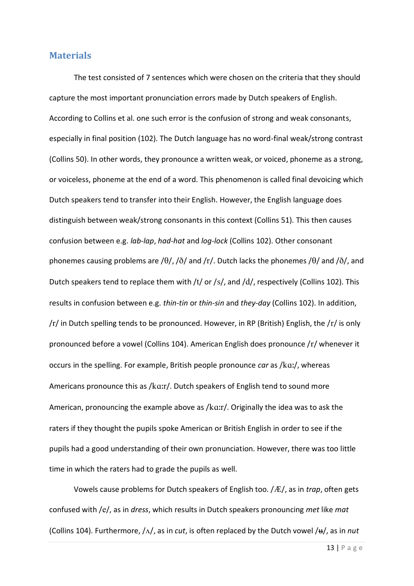#### <span id="page-12-0"></span>**Materials**

The test consisted of 7 sentences which were chosen on the criteria that they should capture the most important pronunciation errors made by Dutch speakers of English. According to Collins et al. one such error is the confusion of strong and weak consonants, especially in final position (102). The Dutch language has no word-final weak/strong contrast (Collins 50). In other words, they pronounce a written weak, or voiced, phoneme as a strong, or voiceless, phoneme at the end of a word. This phenomenon is called final devoicing which Dutch speakers tend to transfer into their English. However, the English language does distinguish between weak/strong consonants in this context (Collins 51). This then causes confusion between e.g. *lab*-*lap*, *had*-*hat* and *log*-*lock* (Collins 102). Other consonant phonemes causing problems are / $\theta$ /, / $\delta$ / and /r/. Dutch lacks the phonemes / $\theta$ / and / $\delta$ /, and Dutch speakers tend to replace them with /t/ or /s/, and /d/, respectively (Collins 102). This results in confusion between e.g. *thin*-*tin* or *thin*-*sin* and *they*-*day* (Collins 102). In addition,  $/r/$  in Dutch spelling tends to be pronounced. However, in RP (British) English, the  $/r/$  is only pronounced before a vowel (Collins 104). American English does pronounce  $/r/$  whenever it occurs in the spelling. For example, British people pronounce *car* as /ka:/, whereas Americans pronounce this as /ka:r/. Dutch speakers of English tend to sound more American, pronouncing the example above as  $/$ k $a$ :r $/$ . Originally the idea was to ask the raters if they thought the pupils spoke American or British English in order to see if the pupils had a good understanding of their own pronunciation. However, there was too little time in which the raters had to grade the pupils as well.

Vowels cause problems for Dutch speakers of English too. /Æ/, as in *trap*, often gets confused with /e/, as in *dress*, which results in Dutch speakers pronouncing *met* like *mat* (Collins 104). Furthermore,  $/\Lambda$ , as in *cut*, is often replaced by the Dutch vowel  $/\mu$ , as in *nut*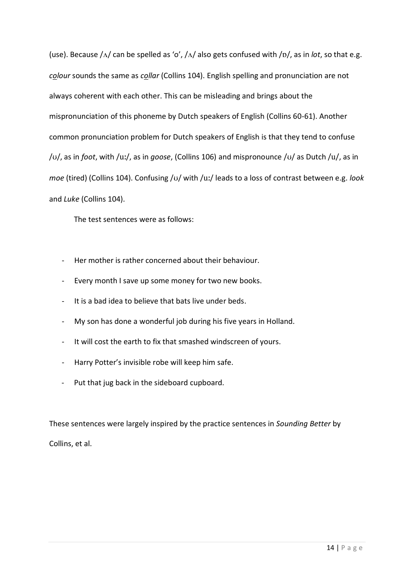(use). Because  $/\Delta$  can be spelled as 'o',  $/\Delta$  also gets confused with  $/\Delta$ , as in *lot*, so that e.g. *colour* sounds the same as *collar* (Collins 104). English spelling and pronunciation are not always coherent with each other. This can be misleading and brings about the mispronunciation of this phoneme by Dutch speakers of English (Collins 60-61). Another common pronunciation problem for Dutch speakers of English is that they tend to confuse /v/, as in *foot*, with /u:/, as in *goose*, (Collins 106) and mispronounce /v/ as Dutch /u/, as in *moe* (tired) (Collins 104). Confusing /v/ with /uː/ leads to a loss of contrast between e.g. look and *Luke* (Collins 104).

The test sentences were as follows:

- Her mother is rather concerned about their behaviour.
- Every month I save up some money for two new books.
- It is a bad idea to believe that bats live under beds.
- My son has done a wonderful job during his five years in Holland.
- It will cost the earth to fix that smashed windscreen of yours.
- Harry Potter's invisible robe will keep him safe.
- Put that jug back in the sideboard cupboard.

These sentences were largely inspired by the practice sentences in *Sounding Better* by

Collins, et al.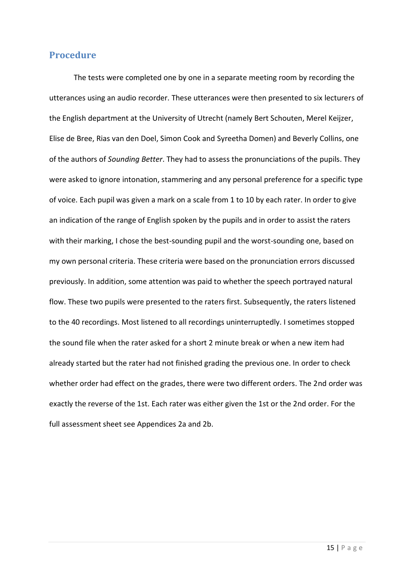#### <span id="page-14-0"></span>**Procedure**

The tests were completed one by one in a separate meeting room by recording the utterances using an audio recorder. These utterances were then presented to six lecturers of the English department at the University of Utrecht (namely Bert Schouten, Merel Keijzer, Elise de Bree, Rias van den Doel, Simon Cook and Syreetha Domen) and Beverly Collins, one of the authors of *Sounding Better*. They had to assess the pronunciations of the pupils. They were asked to ignore intonation, stammering and any personal preference for a specific type of voice. Each pupil was given a mark on a scale from 1 to 10 by each rater. In order to give an indication of the range of English spoken by the pupils and in order to assist the raters with their marking, I chose the best-sounding pupil and the worst-sounding one, based on my own personal criteria. These criteria were based on the pronunciation errors discussed previously. In addition, some attention was paid to whether the speech portrayed natural flow. These two pupils were presented to the raters first. Subsequently, the raters listened to the 40 recordings. Most listened to all recordings uninterruptedly. I sometimes stopped the sound file when the rater asked for a short 2 minute break or when a new item had already started but the rater had not finished grading the previous one. In order to check whether order had effect on the grades, there were two different orders. The 2nd order was exactly the reverse of the 1st. Each rater was either given the 1st or the 2nd order. For the full assessment sheet see Appendices 2a and 2b.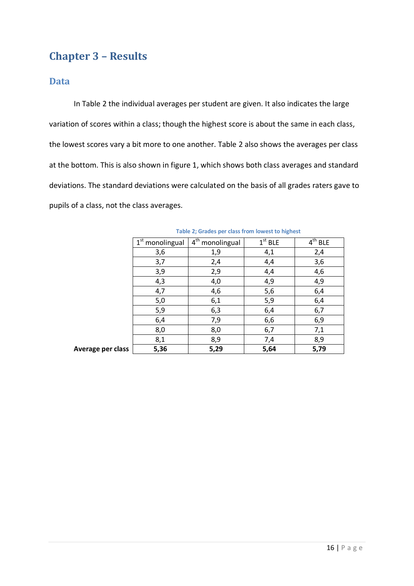## <span id="page-15-0"></span>**Chapter 3 – Results**

#### <span id="page-15-1"></span>**Data**

In Table 2 the individual averages per student are given. It also indicates the large variation of scores within a class; though the highest score is about the same in each class, the lowest scores vary a bit more to one another. Table 2 also shows the averages per class at the bottom. This is also shown in figure 1, which shows both class averages and standard deviations. The standard deviations were calculated on the basis of all grades raters gave to pupils of a class, not the class averages.

|                   | $\overline{1}^{\text{st}}$ monolingual | $4th$ monolingual | $1st$ BLE | $4th$ BLE |
|-------------------|----------------------------------------|-------------------|-----------|-----------|
|                   | 3,6                                    | 1,9               | 4,1       | 2,4       |
|                   | 3,7                                    | 2,4               | 4,4       | 3,6       |
|                   | 3,9                                    | 2,9               | 4,4       | 4,6       |
|                   | 4,3                                    | 4,0               | 4,9       | 4,9       |
|                   | 4,7                                    | 4,6               | 5,6       | 6,4       |
|                   | 5,0                                    | 6,1               | 5,9       | 6,4       |
|                   | 5,9                                    | 6,3               | 6,4       | 6,7       |
|                   | 6,4                                    | 7,9               | 6,6       | 6,9       |
|                   | 8,0                                    | 8,0               | 6,7       | 7,1       |
|                   | 8,1                                    | 8,9               | 7,4       | 8,9       |
| Average per class | 5,36                                   | 5,29              | 5,64      | 5,79      |

**Table 2; Grades per class from lowest to highest**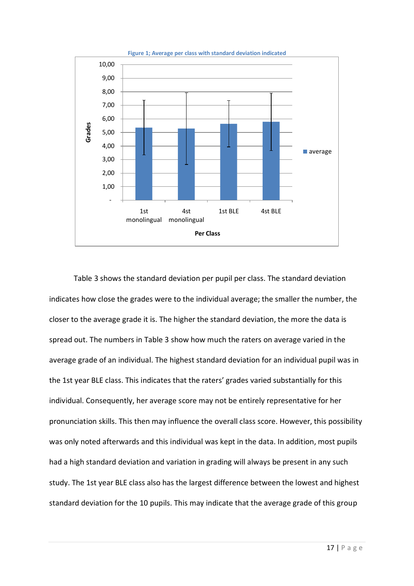

Table 3 shows the standard deviation per pupil per class. The standard deviation indicates how close the grades were to the individual average; the smaller the number, the closer to the average grade it is. The higher the standard deviation, the more the data is spread out. The numbers in Table 3 show how much the raters on average varied in the average grade of an individual. The highest standard deviation for an individual pupil was in the 1st year BLE class. This indicates that the raters' grades varied substantially for this individual. Consequently, her average score may not be entirely representative for her pronunciation skills. This then may influence the overall class score. However, this possibility was only noted afterwards and this individual was kept in the data. In addition, most pupils had a high standard deviation and variation in grading will always be present in any such study. The 1st year BLE class also has the largest difference between the lowest and highest standard deviation for the 10 pupils. This may indicate that the average grade of this group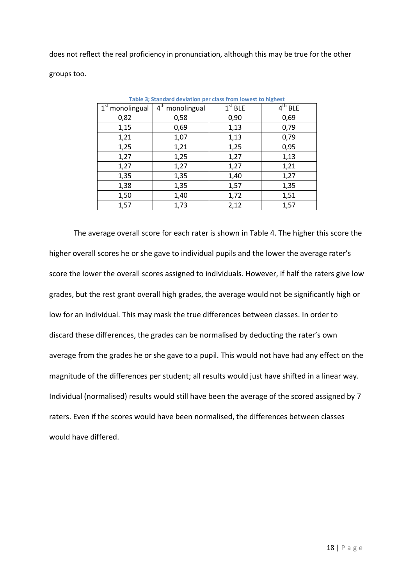does not reflect the real proficiency in pronunciation, although this may be true for the other groups too.

| rable 5; Standard deviation per class from lowest to highest |                                        |           |           |  |
|--------------------------------------------------------------|----------------------------------------|-----------|-----------|--|
| 1 <sup>st</sup> monolingual                                  | $\overline{4}^{\text{th}}$ monolingual | $1st$ BLE | $4th$ BLE |  |
| 0,82                                                         | 0,58                                   | 0,90      | 0,69      |  |
| 1,15                                                         | 0,69                                   | 1,13      | 0,79      |  |
| 1,21                                                         | 1,07                                   | 1,13      | 0,79      |  |
| 1,25                                                         | 1,21                                   | 1,25      | 0,95      |  |
| 1,27                                                         | 1,25                                   | 1,27      | 1,13      |  |
| 1,27                                                         | 1,27                                   | 1,27      | 1,21      |  |
| 1,35                                                         | 1,35                                   | 1,40      | 1,27      |  |
| 1,38                                                         | 1,35                                   | 1,57      | 1,35      |  |
| 1,50                                                         | 1,40                                   | 1,72      | 1,51      |  |
| 1,57                                                         | 1,73                                   | 2,12      | 1,57      |  |

**Table 3; Standard deviation per class from lowest to highest**

The average overall score for each rater is shown in Table 4. The higher this score the higher overall scores he or she gave to individual pupils and the lower the average rater's score the lower the overall scores assigned to individuals. However, if half the raters give low grades, but the rest grant overall high grades, the average would not be significantly high or low for an individual. This may mask the true differences between classes. In order to discard these differences, the grades can be normalised by deducting the rater's own average from the grades he or she gave to a pupil. This would not have had any effect on the magnitude of the differences per student; all results would just have shifted in a linear way. Individual (normalised) results would still have been the average of the scored assigned by 7 raters. Even if the scores would have been normalised, the differences between classes would have differed.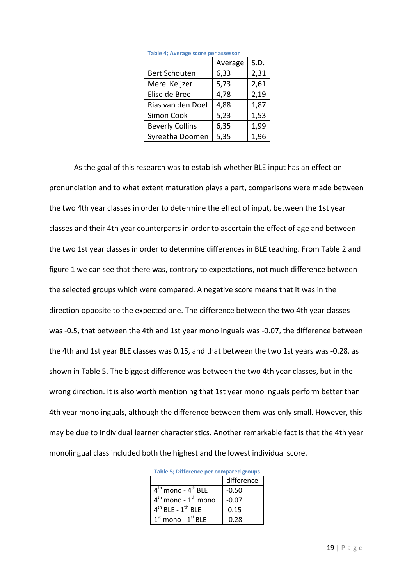|                        | Average | S.D. |
|------------------------|---------|------|
| <b>Bert Schouten</b>   | 6,33    | 2,31 |
| Merel Keijzer          | 5,73    | 2,61 |
| Elise de Bree          | 4,78    | 2,19 |
| Rias van den Doel      | 4,88    | 1,87 |
| Simon Cook             | 5,23    | 1,53 |
| <b>Beverly Collins</b> | 6,35    | 1,99 |
| Syreetha Doomen        | 5,35    | 1,96 |

**Table 4; Average score per assessor**

As the goal of this research was to establish whether BLE input has an effect on pronunciation and to what extent maturation plays a part, comparisons were made between the two 4th year classes in order to determine the effect of input, between the 1st year classes and their 4th year counterparts in order to ascertain the effect of age and between the two 1st year classes in order to determine differences in BLE teaching. From Table 2 and figure 1 we can see that there was, contrary to expectations, not much difference between the selected groups which were compared. A negative score means that it was in the direction opposite to the expected one. The difference between the two 4th year classes was -0.5, that between the 4th and 1st year monolinguals was -0.07, the difference between the 4th and 1st year BLE classes was 0.15, and that between the two 1st years was -0.28, as shown in Table 5. The biggest difference was between the two 4th year classes, but in the wrong direction. It is also worth mentioning that 1st year monolinguals perform better than 4th year monolinguals, although the difference between them was only small. However, this may be due to individual learner characteristics. Another remarkable fact is that the 4th year monolingual class included both the highest and the lowest individual score.

| Table 5; Difference per compared groups    |            |  |
|--------------------------------------------|------------|--|
|                                            | difference |  |
| 4 <sup>th</sup> mono - 4 <sup>th</sup> BLE | -0.50      |  |
| $4^{\rm th}$ mono - $1^{\rm th}$ mono      | $-0.07$    |  |
| $4^{\text{th}}$ BLE - $1^{\text{th}}$ BLE  | 0.15       |  |
| $1st$ mono - $1st$ BLE                     | -0.28      |  |

**Table 5; Difference per compared groups**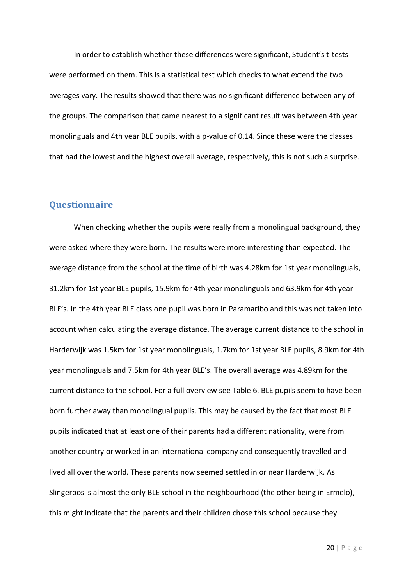In order to establish whether these differences were significant, Student's t-tests were performed on them. This is a statistical test which checks to what extend the two averages vary. The results showed that there was no significant difference between any of the groups. The comparison that came nearest to a significant result was between 4th year monolinguals and 4th year BLE pupils, with a p-value of 0.14. Since these were the classes that had the lowest and the highest overall average, respectively, this is not such a surprise.

#### <span id="page-19-0"></span>**Questionnaire**

When checking whether the pupils were really from a monolingual background, they were asked where they were born. The results were more interesting than expected. The average distance from the school at the time of birth was 4.28km for 1st year monolinguals, 31.2km for 1st year BLE pupils, 15.9km for 4th year monolinguals and 63.9km for 4th year BLE's. In the 4th year BLE class one pupil was born in Paramaribo and this was not taken into account when calculating the average distance. The average current distance to the school in Harderwijk was 1.5km for 1st year monolinguals, 1.7km for 1st year BLE pupils, 8.9km for 4th year monolinguals and 7.5km for 4th year BLE's. The overall average was 4.89km for the current distance to the school. For a full overview see Table 6. BLE pupils seem to have been born further away than monolingual pupils. This may be caused by the fact that most BLE pupils indicated that at least one of their parents had a different nationality, were from another country or worked in an international company and consequently travelled and lived all over the world. These parents now seemed settled in or near Harderwijk. As Slingerbos is almost the only BLE school in the neighbourhood (the other being in Ermelo), this might indicate that the parents and their children chose this school because they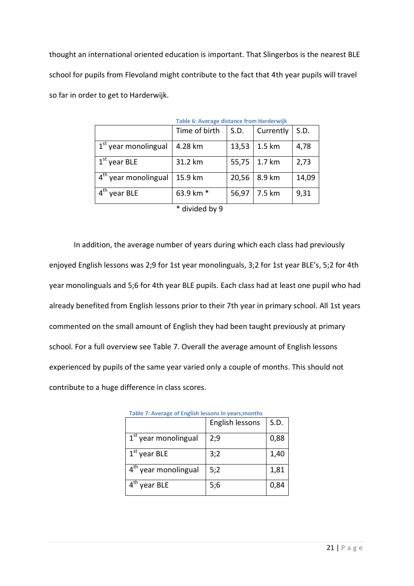thought an international oriented education is important. That Slingerbos is the nearest BLE school for pupils from Flevoland might contribute to the fact that 4th year pupils will travel so far in order to get to Harderwijk.

| <b>Table 6: Average distance from Harderwijk</b> |               |       |                   |       |
|--------------------------------------------------|---------------|-------|-------------------|-------|
|                                                  | Time of birth | S.D.  | Currently         | S.D.  |
| 1 <sup>st</sup> year monolingual                 | 4.28 km       | 13,53 | 1.5 km            | 4,78  |
| $1st$ year BLE                                   | 31.2 km       | 55,75 | $1.7 \mathrm{km}$ | 2,73  |
| 4 <sup>th</sup> year monolingual                 | 15.9 km       | 20,56 | 8.9 km            | 14,09 |
| year BLE                                         | 63.9 km *     | 56,97 | 7.5 km            | 9,31  |
| * divided by 9                                   |               |       |                   |       |

In addition, the average number of years during which each class had previously enjoyed English lessons was 2;9 for 1st year monolinguals, 3;2 for 1st year BLE's, 5;2 for 4th

year monolinguals and 5;6 for 4th year BLE pupils. Each class had at least one pupil who had already benefited from English lessons prior to their 7th year in primary school. All 1st years commented on the small amount of English they had been taught previously at primary school. For a full overview see Table 7. Overall the average amount of English lessons experienced by pupils of the same year varied only a couple of months. This should not contribute to a huge difference in class scores.

|                                  | English lessons | S.D. |
|----------------------------------|-----------------|------|
| 1 <sup>st</sup> year monolingual | 2:9             | 0,88 |
| $1st$ year BLE                   | 3;2             | 1,40 |
| 4 <sup>th</sup> year monolingual | 5:2             | 1,81 |
| $4th$ year BLE                   | 5;6             | 0,84 |

|  | Table 7: Average of English lessons in years; months |
|--|------------------------------------------------------|
|  |                                                      |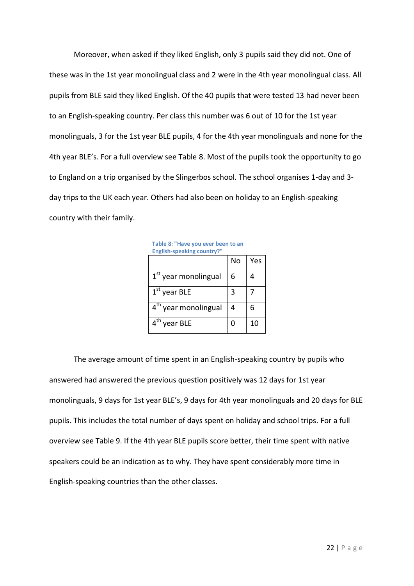Moreover, when asked if they liked English, only 3 pupils said they did not. One of these was in the 1st year monolingual class and 2 were in the 4th year monolingual class. All pupils from BLE said they liked English. Of the 40 pupils that were tested 13 had never been to an English-speaking country. Per class this number was 6 out of 10 for the 1st year monolinguals, 3 for the 1st year BLE pupils, 4 for the 4th year monolinguals and none for the 4th year BLE's. For a full overview see Table 8. Most of the pupils took the opportunity to go to England on a trip organised by the Slingerbos school. The school organises 1-day and 3 day trips to the UK each year. Others had also been on holiday to an English-speaking country with their family.

|                                  | No | Yes |
|----------------------------------|----|-----|
| 1 <sup>st</sup> year monolingual | 6  |     |
| $1st$ year BLE                   | 3  |     |
| 4 <sup>th</sup> year monolingual | 4  | 6   |
| year BLE                         | O  | 10  |

**Table 8: "Have you ever been to an English-speaking country?"**

The average amount of time spent in an English-speaking country by pupils who answered had answered the previous question positively was 12 days for 1st year monolinguals, 9 days for 1st year BLE's, 9 days for 4th year monolinguals and 20 days for BLE pupils. This includes the total number of days spent on holiday and school trips. For a full overview see Table 9. If the 4th year BLE pupils score better, their time spent with native speakers could be an indication as to why. They have spent considerably more time in English-speaking countries than the other classes.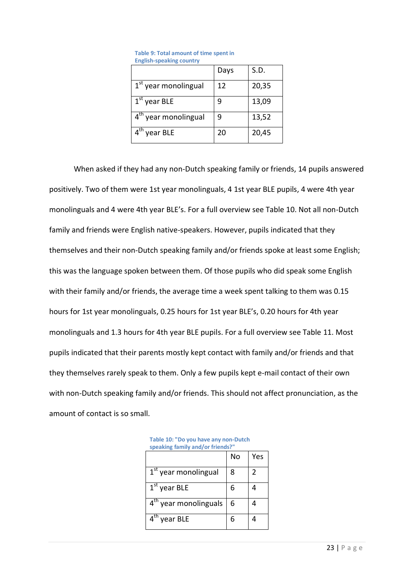|                                  | Days | S.D.  |
|----------------------------------|------|-------|
| 1 <sup>st</sup> year monolingual | 12   | 20,35 |
| $1st$ year BLE                   | q    | 13,09 |
| 4 <sup>th</sup> year monolingual | 9    | 13,52 |
| $4th$ year BLE                   | 20   | 20,45 |

| Table 9: Total amount of time spent in |
|----------------------------------------|
| <b>English-speaking country</b>        |

When asked if they had any non-Dutch speaking family or friends, 14 pupils answered positively. Two of them were 1st year monolinguals, 4 1st year BLE pupils, 4 were 4th year monolinguals and 4 were 4th year BLE's. For a full overview see Table 10. Not all non-Dutch family and friends were English native-speakers. However, pupils indicated that they themselves and their non-Dutch speaking family and/or friends spoke at least some English; this was the language spoken between them. Of those pupils who did speak some English with their family and/or friends, the average time a week spent talking to them was 0.15 hours for 1st year monolinguals, 0.25 hours for 1st year BLE's, 0.20 hours for 4th year monolinguals and 1.3 hours for 4th year BLE pupils. For a full overview see Table 11. Most pupils indicated that their parents mostly kept contact with family and/or friends and that they themselves rarely speak to them. Only a few pupils kept e-mail contact of their own with non-Dutch speaking family and/or friends. This should not affect pronunciation, as the amount of contact is so small.

| <b>Speaning Tailing and/OF ILIERUS:</b> |    |     |  |  |  |  |  |
|-----------------------------------------|----|-----|--|--|--|--|--|
|                                         | No | Yes |  |  |  |  |  |
| 1 <sup>st</sup> year monolingual        | 8  | 2   |  |  |  |  |  |
| $1st$ year BLE                          | 6  |     |  |  |  |  |  |
| $4^{\sf th}$<br>year monolinguals       | 6  |     |  |  |  |  |  |
| $\mathsf{4}^\mathsf{th}$<br>year BLE    | 6  |     |  |  |  |  |  |

**Table 10: "Do you have any non-Dutch speaking family and/or friends?"**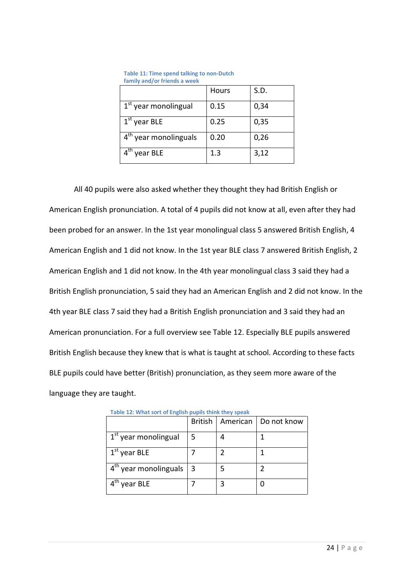| <u>idiliiv diiu/ UI Tiiciius a ween</u> |              |      |  |  |  |  |  |
|-----------------------------------------|--------------|------|--|--|--|--|--|
|                                         | <b>Hours</b> | S.D. |  |  |  |  |  |
| $1st$ year monolingual                  | 0.15         | 0,34 |  |  |  |  |  |
| $1st$ year BLE                          | 0.25         | 0,35 |  |  |  |  |  |
| 4 <sup>th</sup> year monolinguals       | 0.20         | 0,26 |  |  |  |  |  |
| year BLE                                | 1.3          | 3,12 |  |  |  |  |  |

**Table 11: Time spend talking to non-Dutch family and/or friends a week**

All 40 pupils were also asked whether they thought they had British English or American English pronunciation. A total of 4 pupils did not know at all, even after they had been probed for an answer. In the 1st year monolingual class 5 answered British English, 4 American English and 1 did not know. In the 1st year BLE class 7 answered British English, 2 American English and 1 did not know. In the 4th year monolingual class 3 said they had a British English pronunciation, 5 said they had an American English and 2 did not know. In the 4th year BLE class 7 said they had a British English pronunciation and 3 said they had an American pronunciation. For a full overview see Table 12. Especially BLE pupils answered British English because they knew that is what is taught at school. According to these facts BLE pupils could have better (British) pronunciation, as they seem more aware of the language they are taught.

|                                   |    | British   American   Do not know |
|-----------------------------------|----|----------------------------------|
| 1 <sup>st</sup> year monolingual  | 5  |                                  |
| $1st$ year BLE                    |    |                                  |
| 4 <sup>th</sup> year monolinguals | -3 |                                  |
| year BLE                          |    |                                  |

**Table 12: What sort of English pupils think they speak**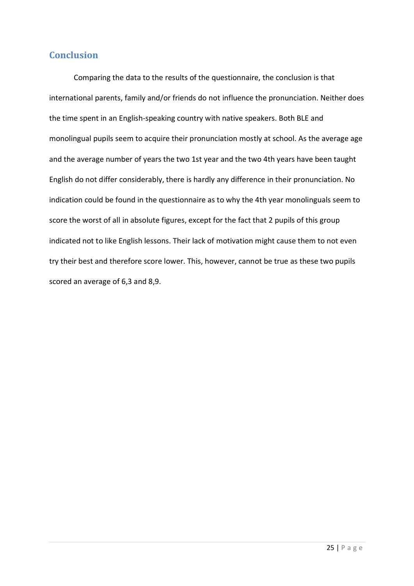#### <span id="page-24-0"></span>**Conclusion**

Comparing the data to the results of the questionnaire, the conclusion is that international parents, family and/or friends do not influence the pronunciation. Neither does the time spent in an English-speaking country with native speakers. Both BLE and monolingual pupils seem to acquire their pronunciation mostly at school. As the average age and the average number of years the two 1st year and the two 4th years have been taught English do not differ considerably, there is hardly any difference in their pronunciation. No indication could be found in the questionnaire as to why the 4th year monolinguals seem to score the worst of all in absolute figures, except for the fact that 2 pupils of this group indicated not to like English lessons. Their lack of motivation might cause them to not even try their best and therefore score lower. This, however, cannot be true as these two pupils scored an average of 6,3 and 8,9.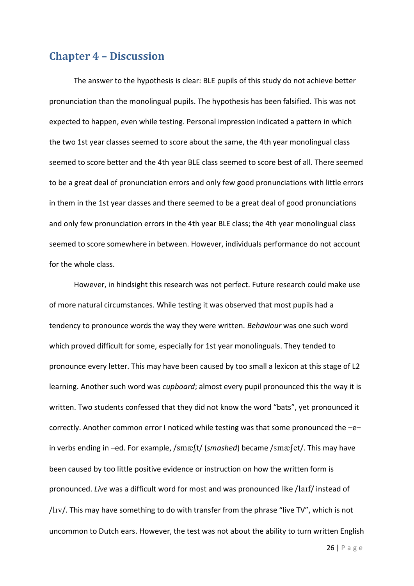#### <span id="page-25-0"></span>**Chapter 4 – Discussion**

The answer to the hypothesis is clear: BLE pupils of this study do not achieve better pronunciation than the monolingual pupils. The hypothesis has been falsified. This was not expected to happen, even while testing. Personal impression indicated a pattern in which the two 1st year classes seemed to score about the same, the 4th year monolingual class seemed to score better and the 4th year BLE class seemed to score best of all. There seemed to be a great deal of pronunciation errors and only few good pronunciations with little errors in them in the 1st year classes and there seemed to be a great deal of good pronunciations and only few pronunciation errors in the 4th year BLE class; the 4th year monolingual class seemed to score somewhere in between. However, individuals performance do not account for the whole class.

However, in hindsight this research was not perfect. Future research could make use of more natural circumstances. While testing it was observed that most pupils had a tendency to pronounce words the way they were written. *Behaviour* was one such word which proved difficult for some, especially for 1st year monolinguals. They tended to pronounce every letter. This may have been caused by too small a lexicon at this stage of L2 learning. Another such word was *cupboard*; almost every pupil pronounced this the way it is written. Two students confessed that they did not know the word "bats", yet pronounced it correctly. Another common error I noticed while testing was that some pronounced the  $-e$ in verbs ending in –ed. For example, /smæft/ (*smashed*) became /smæfet/. This may have been caused by too little positive evidence or instruction on how the written form is pronounced. *Live* was a difficult word for most and was pronounced like // instead of  $/$ IIv $/$ . This may have something to do with transfer from the phrase "live TV", which is not uncommon to Dutch ears. However, the test was not about the ability to turn written English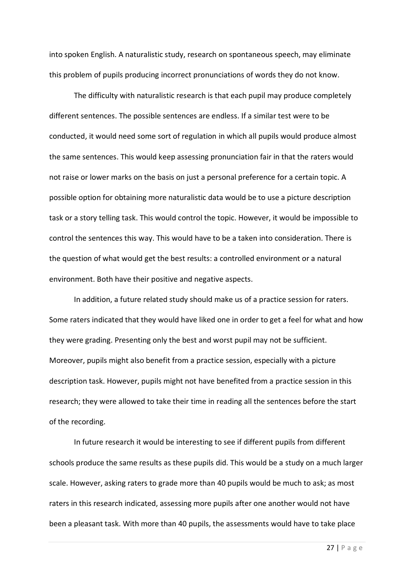into spoken English. A naturalistic study, research on spontaneous speech, may eliminate this problem of pupils producing incorrect pronunciations of words they do not know.

The difficulty with naturalistic research is that each pupil may produce completely different sentences. The possible sentences are endless. If a similar test were to be conducted, it would need some sort of regulation in which all pupils would produce almost the same sentences. This would keep assessing pronunciation fair in that the raters would not raise or lower marks on the basis on just a personal preference for a certain topic. A possible option for obtaining more naturalistic data would be to use a picture description task or a story telling task. This would control the topic. However, it would be impossible to control the sentences this way. This would have to be a taken into consideration. There is the question of what would get the best results: a controlled environment or a natural environment. Both have their positive and negative aspects.

In addition, a future related study should make us of a practice session for raters. Some raters indicated that they would have liked one in order to get a feel for what and how they were grading. Presenting only the best and worst pupil may not be sufficient. Moreover, pupils might also benefit from a practice session, especially with a picture description task. However, pupils might not have benefited from a practice session in this research; they were allowed to take their time in reading all the sentences before the start of the recording.

In future research it would be interesting to see if different pupils from different schools produce the same results as these pupils did. This would be a study on a much larger scale. However, asking raters to grade more than 40 pupils would be much to ask; as most raters in this research indicated, assessing more pupils after one another would not have been a pleasant task. With more than 40 pupils, the assessments would have to take place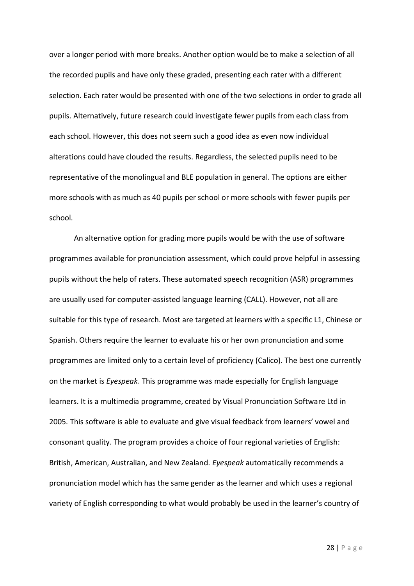over a longer period with more breaks. Another option would be to make a selection of all the recorded pupils and have only these graded, presenting each rater with a different selection. Each rater would be presented with one of the two selections in order to grade all pupils. Alternatively, future research could investigate fewer pupils from each class from each school. However, this does not seem such a good idea as even now individual alterations could have clouded the results. Regardless, the selected pupils need to be representative of the monolingual and BLE population in general. The options are either more schools with as much as 40 pupils per school or more schools with fewer pupils per school.

An alternative option for grading more pupils would be with the use of software programmes available for pronunciation assessment, which could prove helpful in assessing pupils without the help of raters. These automated speech recognition (ASR) programmes are usually used for computer-assisted language learning (CALL). However, not all are suitable for this type of research. Most are targeted at learners with a specific L1, Chinese or Spanish. Others require the learner to evaluate his or her own pronunciation and some programmes are limited only to a certain level of proficiency (Calico). The best one currently on the market is *Eyespeak*. This programme was made especially for English language learners. It is a multimedia programme, created by Visual Pronunciation Software Ltd in 2005. This software is able to evaluate and give visual feedback from learners' vowel and consonant quality. The program provides a choice of four regional varieties of English: British, American, Australian, and New Zealand. *Eyespeak* automatically recommends a pronunciation model which has the same gender as the learner and which uses a regional variety of English corresponding to what would probably be used in the learner's country of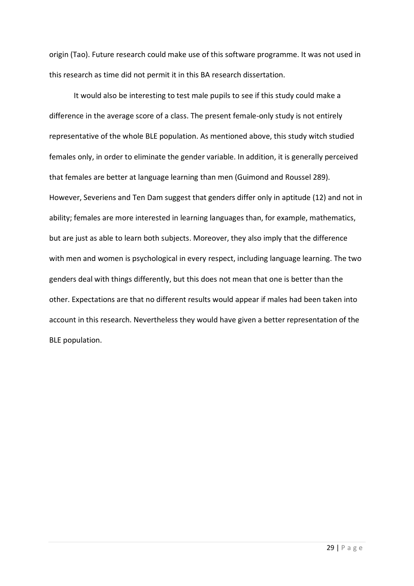origin (Tao). Future research could make use of this software programme. It was not used in this research as time did not permit it in this BA research dissertation.

It would also be interesting to test male pupils to see if this study could make a difference in the average score of a class. The present female-only study is not entirely representative of the whole BLE population. As mentioned above, this study witch studied females only, in order to eliminate the gender variable. In addition, it is generally perceived that females are better at language learning than men (Guimond and Roussel 289). However, Severiens and Ten Dam suggest that genders differ only in aptitude (12) and not in ability; females are more interested in learning languages than, for example, mathematics, but are just as able to learn both subjects. Moreover, they also imply that the difference with men and women is psychological in every respect, including language learning. The two genders deal with things differently, but this does not mean that one is better than the other. Expectations are that no different results would appear if males had been taken into account in this research. Nevertheless they would have given a better representation of the BLE population.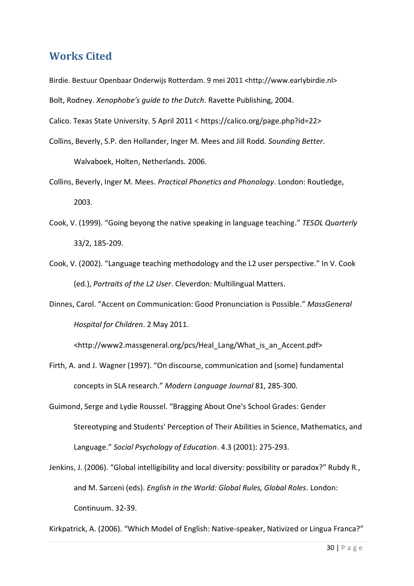### <span id="page-29-0"></span>**Works Cited**

Birdie. Bestuur Openbaar Onderwijs Rotterdam. 9 mei 2011 <http://www.earlybirdie.nl> Bolt, Rodney. *Xenophobe's guide to the Dutch*. Ravette Publishing, 2004.

Calico. Texas State University. 5 April 2011 < https://calico.org/page.php?id=22>

Collins, Beverly, S.P. den Hollander, Inger M. Mees and Jill Rodd. *Sounding Better*.

Walvaboek, Holten, Netherlands. 2006.

- Collins, Beverly, Inger M. Mees. *Practical Phonetics and Phonology*. London: Routledge, 2003.
- Cook, V. (1999). "Going beyong the native speaking in language teaching." *TESOL Quarterly* 33/2, 185-209.
- Cook, V. (2002). "Language teaching methodology and the L2 user perspective." In V. Cook (ed.), *Portraits of the L2 User*. Cleverdon: Multilingual Matters.
- Dinnes, Carol. "Accent on Communication: Good Pronunciation is Possible." *MassGeneral Hospital for Children*. 2 May 2011.

<http://www2.massgeneral.org/pcs/Heal\_Lang/What\_is\_an\_Accent.pdf>

- Firth, A. and J. Wagner (1997). "On discourse, communication and (some) fundamental concepts in SLA research." *Modern Language Journal* 81, 285-300.
- Guimond, Serge and Lydie Roussel. "Bragging About One's School Grades: Gender Stereotyping and Students' Perception of Their Abilities in Science, Mathematics, and Language." *Social Psychology of Education*. 4.3 (2001): 275-293.
- Jenkins, J. (2006). "Global intelligibility and local diversity: possibility or paradox?" Rubdy R., and M. Sarceni (eds). *English in the World: Global Rules, Global Roles*. London: Continuum. 32-39.

Kirkpatrick, A. (2006). "Which Model of English: Native-speaker, Nativized or Lingua Franca?"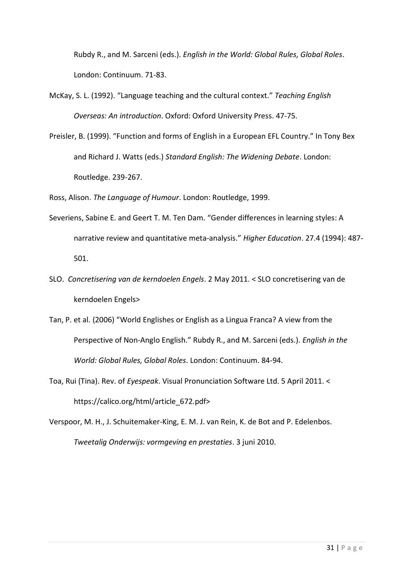Rubdy R., and M. Sarceni (eds.). *English in the World: Global Rules, Global Roles*. London: Continuum. 71-83.

- McKay, S. L. (1992). "Language teaching and the cultural context." *Teaching English Overseas: An introduction*. Oxford: Oxford University Press. 47-75.
- Preisler, B. (1999). "Function and forms of English in a European EFL Country." In Tony Bex and Richard J. Watts (eds.) *Standard English: The Widening Debate*. London: Routledge. 239-267.

Ross, Alison. *The Language of Humour*. London: Routledge, 1999.

- Severiens, Sabine E. and Geert T. M. Ten Dam. "Gender differences in learning styles: A narrative review and quantitative meta-analysis." *Higher Education*. 27.4 (1994): 487- 501.
- SLO. *Concretisering van de kerndoelen Engels*. 2 May 2011. < SLO concretisering van de kerndoelen Engels>
- Tan, P. et al. (2006) "World Englishes or English as a Lingua Franca? A view from the Perspective of Non-Anglo English." Rubdy R., and M. Sarceni (eds.). *English in the World: Global Rules, Global Roles*. London: Continuum. 84-94.
- Toa, Rui (Tina). Rev. of *Eyespeak*. Visual Pronunciation Software Ltd. 5 April 2011. < https://calico.org/html/article\_672.pdf>
- Verspoor, M. H., J. Schuitemaker-King, E. M. J. van Rein, K. de Bot and P. Edelenbos. *Tweetalig Onderwijs: vormgeving en prestaties*. 3 juni 2010.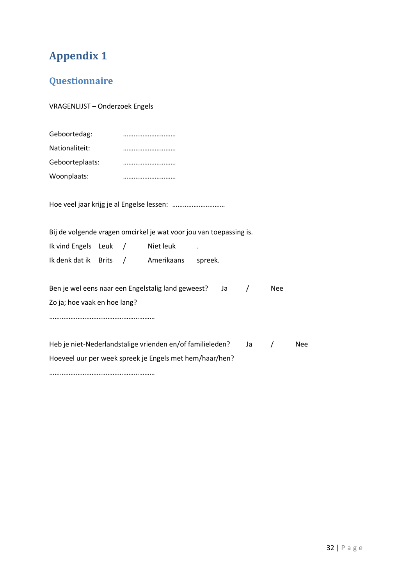## <span id="page-31-0"></span>**Appendix 1**

## <span id="page-31-1"></span>**Questionnaire**

VRAGENLIJST – Onderzoek Engels

| Geboortedag:    |  |
|-----------------|--|
| Nationaliteit:  |  |
| Geboorteplaats: |  |
| Woonplaats:     |  |

Hoe veel jaar krijg je al Engelse lessen: …………………………

Bij de volgende vragen omcirkel je wat voor jou van toepassing is.

| Ik vind Engels Leuk  |  | Niet leuk  |         |
|----------------------|--|------------|---------|
| Ik denk dat ik Brits |  | Amerikaans | spreek. |

| Ben je wel eens naar een Engelstalig land geweest? |  | <b>Nee</b> |
|----------------------------------------------------|--|------------|
| Zo ja; hoe vaak en hoe lang?                       |  |            |

……………………………………………………

Heb je niet-Nederlandstalige vrienden en/of familieleden? Ja / Nee Hoeveel uur per week spreek je Engels met hem/haar/hen?

……………………………………………………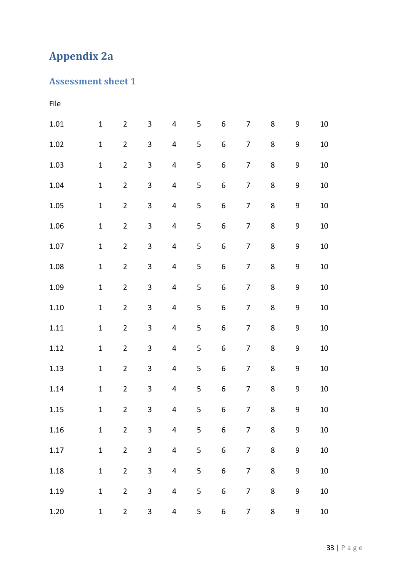# <span id="page-32-0"></span>**Appendix 2a**

## <span id="page-32-1"></span>**Assessment sheet 1**

| File     |              |                |                         |                         |   |                  |                          |   |                  |        |
|----------|--------------|----------------|-------------------------|-------------------------|---|------------------|--------------------------|---|------------------|--------|
| $1.01\,$ | $\mathbf 1$  | $\overline{2}$ | $\overline{3}$          | $\overline{\mathbf{4}}$ | 5 | $\boldsymbol{6}$ | $\overline{7}$           | 8 | $\boldsymbol{9}$ | 10     |
| 1.02     | $\mathbf 1$  | $\overline{2}$ | 3                       | $\overline{\mathbf{4}}$ | 5 | $\,$ 6 $\,$      | $\overline{7}$           | 8 | $\boldsymbol{9}$ | 10     |
| 1.03     | $\mathbf 1$  | $\overline{2}$ | $\mathbf{3}$            | $\overline{\mathbf{4}}$ | 5 | $\boldsymbol{6}$ | $\overline{7}$           | 8 | 9                | $10\,$ |
| 1.04     | $\mathbf 1$  | $\overline{2}$ | $\overline{\mathbf{3}}$ | $\overline{\mathbf{4}}$ | 5 | $\boldsymbol{6}$ | $\overline{7}$           | 8 | 9                | 10     |
| 1.05     | $\mathbf 1$  | $\overline{2}$ | $\mathbf{3}$            | $\overline{\mathbf{4}}$ | 5 | $\boldsymbol{6}$ | $\overline{7}$           | 8 | 9                | $10\,$ |
| 1.06     | $\mathbf 1$  | $\overline{2}$ | 3                       | $\overline{\mathbf{4}}$ | 5 | $\boldsymbol{6}$ | $\overline{7}$           | 8 | $\boldsymbol{9}$ | 10     |
| 1.07     | $\mathbf 1$  | $\overline{2}$ | $\mathbf{3}$            | $\overline{\mathbf{4}}$ | 5 | $\,$ 6 $\,$      | 7                        | 8 | $\boldsymbol{9}$ | $10\,$ |
| 1.08     | $\mathbf 1$  | $\overline{2}$ | $\overline{\mathbf{3}}$ | 4                       | 5 | $\boldsymbol{6}$ | 7                        | 8 | $\boldsymbol{9}$ | 10     |
| 1.09     | $\mathbf 1$  | $\overline{2}$ | $\overline{\mathbf{3}}$ | $\overline{\mathbf{4}}$ | 5 | $\,$ 6 $\,$      | 7                        | 8 | 9                | $10\,$ |
| $1.10\,$ | $\mathbf 1$  | $\overline{2}$ | $\overline{\mathbf{3}}$ | $\overline{\mathbf{4}}$ | 5 | $\boldsymbol{6}$ | 7                        | 8 | $\boldsymbol{9}$ | 10     |
| 1.11     | $\mathbf 1$  | $\overline{2}$ | $\overline{\mathbf{3}}$ | $\overline{\mathbf{4}}$ | 5 | $\,$ 6 $\,$      | 7                        | 8 | $\boldsymbol{9}$ | $10\,$ |
| 1.12     | $\mathbf 1$  | $\overline{2}$ | $\overline{\mathbf{3}}$ | $\overline{\mathbf{4}}$ | 5 | $\boldsymbol{6}$ | $\overline{\mathcal{I}}$ | 8 | $\boldsymbol{9}$ | $10\,$ |
| 1.13     | $\mathbf 1$  | $\overline{2}$ | $\overline{\mathbf{3}}$ | $\overline{\mathbf{4}}$ | 5 | 6                | $\overline{7}$           | 8 | $\boldsymbol{9}$ | 10     |
| 1.14     | $\mathbf 1$  | $\overline{2}$ | 3                       | $\overline{\mathbf{4}}$ | 5 | $\boldsymbol{6}$ | 7                        | 8 | 9                | $10\,$ |
| 1.15     | $\mathbf{1}$ | $\overline{2}$ | 3                       | 4                       | 5 | 6                | 7                        | 8 | 9                | $10\,$ |
| 1.16     | $\mathbf 1$  | $\overline{2}$ | 3                       | $\overline{4}$          | 5 | $\boldsymbol{6}$ | $\overline{7}$           | 8 | 9                | $10\,$ |
| 1.17     | $\mathbf 1$  | $\overline{2}$ | 3                       | $\overline{\mathbf{4}}$ | 5 | $\,$ 6 $\,$      | 7                        | 8 | $\boldsymbol{9}$ | $10\,$ |
| 1.18     | $\mathbf 1$  | $\overline{2}$ | 3                       | $\overline{4}$          | 5 | $\boldsymbol{6}$ | $\overline{7}$           | 8 | $\boldsymbol{9}$ | $10\,$ |
| 1.19     | $\mathbf 1$  | $\overline{2}$ | 3                       | $\overline{\mathbf{4}}$ | 5 | $\boldsymbol{6}$ | 7                        | 8 | 9                | $10\,$ |
| 1.20     | $\mathbf 1$  | $\overline{2}$ | $\mathbf{3}$            | $\overline{\mathbf{r}}$ | 5 | $\boldsymbol{6}$ | $\overline{7}$           | 8 | 9                | $10\,$ |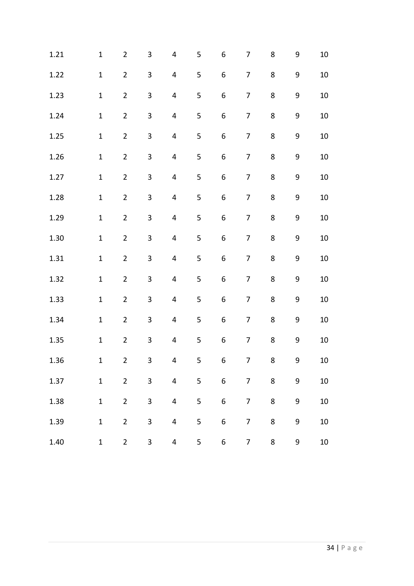| 1.21 | $\mathbf 1$  | $\overline{2}$          | $\mathbf{3}$            | 4                       | 5              | $\boldsymbol{6}$ | 7              | 8 | 9                | 10     |
|------|--------------|-------------------------|-------------------------|-------------------------|----------------|------------------|----------------|---|------------------|--------|
| 1.22 | $\mathbf{1}$ | $\overline{2}$          | $\overline{\mathbf{3}}$ | 4                       | 5              | $\,$ 6 $\,$      | $\overline{7}$ | 8 | 9                | 10     |
| 1.23 | $\mathbf{1}$ | $\overline{2}$          | 3                       | 4                       | 5              | $\boldsymbol{6}$ | $\overline{7}$ | 8 | 9                | 10     |
| 1.24 | $\mathbf 1$  | $\overline{2}$          | 3                       | $\overline{\mathbf{4}}$ | 5              | $\boldsymbol{6}$ | $\overline{7}$ | 8 | 9                | 10     |
| 1.25 | $\mathbf 1$  | $\overline{2}$          | 3                       | $\overline{\mathbf{4}}$ | 5              | $\boldsymbol{6}$ | 7              | 8 | 9                | 10     |
| 1.26 | $\mathbf{1}$ | $\overline{2}$          | $\overline{\mathbf{3}}$ | $\overline{\mathbf{4}}$ | 5              | $\,$ 6 $\,$      | $\overline{7}$ | 8 | $\boldsymbol{9}$ | 10     |
| 1.27 | $\mathbf{1}$ | $\overline{2}$          | $\mathbf{3}$            | $\overline{\mathbf{4}}$ | 5              | 6                | $\overline{7}$ | 8 | $\boldsymbol{9}$ | 10     |
| 1.28 | $\mathbf{1}$ | $\overline{2}$          | $\mathbf{3}$            | $\overline{\mathbf{4}}$ | 5              | $\,$ 6 $\,$      | $\overline{7}$ | 8 | 9                | 10     |
| 1.29 | $\mathbf{1}$ | $\overline{2}$          | 3                       | 4                       | 5              | 6                | $\overline{7}$ | 8 | 9                | 10     |
| 1.30 | $\mathbf 1$  | $\overline{2}$          | $\mathbf{3}$            | $\overline{\mathbf{4}}$ | $\mathsf S$    | $\,$ 6 $\,$      | 7              | 8 | $\boldsymbol{9}$ | $10\,$ |
| 1.31 | $\mathbf{1}$ | $\overline{2}$          | $\overline{\mathbf{3}}$ | 4                       | 5              | $\,$ 6 $\,$      | 7              | 8 | $\boldsymbol{9}$ | 10     |
| 1.32 | $\mathbf{1}$ | $\overline{2}$          | $\mathbf{3}$            | 4                       | 5              | $\boldsymbol{6}$ | 7              | 8 | $\boldsymbol{9}$ | 10     |
| 1.33 | $\mathbf 1$  | $\overline{2}$          | 3                       | $\overline{\mathbf{4}}$ | 5              | $\,$ 6 $\,$      | $\overline{7}$ | 8 | 9                | 10     |
| 1.34 | $\mathbf 1$  | $\overline{2}$          | 3                       | $\overline{4}$          | 5              | $\boldsymbol{6}$ | 7              | 8 | 9                | 10     |
| 1.35 | $\mathbf{1}$ | $\overline{2}$          | $\mathbf{3}$            | $\overline{\mathbf{4}}$ | 5              | $\boldsymbol{6}$ | $\overline{7}$ | 8 | $\boldsymbol{9}$ | $10\,$ |
| 1.36 | $\mathbf{1}$ | $\overline{\mathbf{c}}$ | 3                       | 4                       | 5              | 6                | 7              | 8 | 9                | $10\,$ |
| 1.37 | $\mathbf{1}$ | $\overline{2}$          | 3                       | $\overline{\mathbf{4}}$ | 5              | $\boldsymbol{6}$ | $\overline{7}$ | 8 | 9                | $10\,$ |
| 1.38 | $\mathbf{1}$ | $\overline{2}$          | $\overline{\mathbf{3}}$ | $\overline{\mathbf{4}}$ | $\overline{5}$ | $\,6\,$          | $\overline{7}$ | 8 | $\boldsymbol{9}$ | $10\,$ |
| 1.39 | $\mathbf{1}$ | $\overline{2}$          | 3                       | $\overline{\mathbf{4}}$ | 5              | $\boldsymbol{6}$ | $\overline{7}$ | 8 | 9                | $10\,$ |
| 1.40 | $\mathbf{1}$ | $\overline{2}$          | $\mathbf{3}$            | 4                       | 5              | 6                | $\overline{7}$ | 8 | 9                | $10\,$ |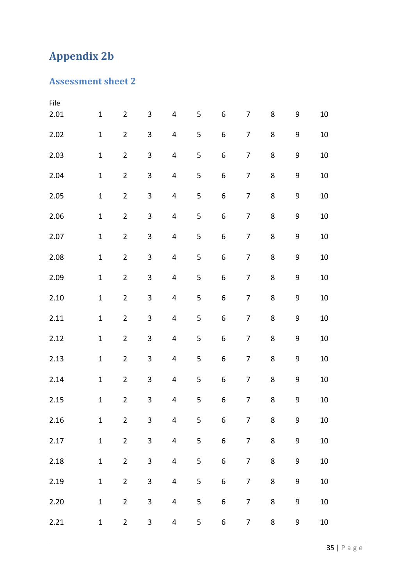# <span id="page-34-0"></span>**Appendix 2b**

## <span id="page-34-1"></span>**Assessment sheet 2**

| File |              |                |                         |                         |             |                  |                          |   |                  |        |
|------|--------------|----------------|-------------------------|-------------------------|-------------|------------------|--------------------------|---|------------------|--------|
| 2.01 | $\mathbf{1}$ | $\overline{2}$ | 3                       | $\pmb{4}$               | 5           | 6                | $\overline{7}$           | 8 | $\boldsymbol{9}$ | 10     |
| 2.02 | $\mathbf 1$  | $\overline{2}$ | 3                       | 4                       | 5           | 6                | 7                        | 8 | $\boldsymbol{9}$ | 10     |
| 2.03 | $\mathbf 1$  | $\overline{2}$ | $\overline{\mathbf{3}}$ | 4                       | 5           | 6                | $\overline{7}$           | 8 | $\boldsymbol{9}$ | 10     |
| 2.04 | $\mathbf{1}$ | $\overline{2}$ | $\overline{\mathbf{3}}$ | $\pmb{4}$               | 5           | 6                | $\overline{7}$           | 8 | 9                | 10     |
| 2.05 | $\mathbf{1}$ | $\overline{2}$ | $\mathbf{3}$            | 4                       | 5           | 6                | $\overline{7}$           | 8 | 9                | 10     |
| 2.06 | $\mathbf{1}$ | $\overline{2}$ | $\overline{\mathbf{3}}$ | $\pmb{4}$               | 5           | 6                | $\overline{7}$           | 8 | $\boldsymbol{9}$ | 10     |
| 2.07 | $\mathbf{1}$ | $\overline{2}$ | $\mathbf{3}$            | 4                       | $\mathsf S$ | 6                | $\overline{7}$           | 8 | $\boldsymbol{9}$ | 10     |
| 2.08 | $\mathbf{1}$ | $\overline{2}$ | $\overline{\mathbf{3}}$ | $\pmb{4}$               | 5           | 6                | $\overline{7}$           | 8 | $\boldsymbol{9}$ | 10     |
| 2.09 | $\mathbf{1}$ | $\overline{2}$ | $\overline{\mathbf{3}}$ | 4                       | 5           | 6                | $\overline{7}$           | 8 | $\boldsymbol{9}$ | 10     |
| 2.10 | $\mathbf 1$  | $\overline{2}$ | 3                       | $\pmb{4}$               | 5           | 6                | $\overline{7}$           | 8 | 9                | 10     |
| 2.11 | $\mathbf{1}$ | $\overline{2}$ | 3                       | 4                       | 5           | 6                | 7                        | 8 | $\boldsymbol{9}$ | $10\,$ |
| 2.12 | $\mathbf{1}$ | $\overline{2}$ | $\mathbf{3}$            | $\pmb{4}$               | 5           | 6                | $\overline{\mathcal{I}}$ | 8 | 9                | 10     |
| 2.13 | $\mathbf{1}$ | $\overline{2}$ | $\mathbf{3}$            | 4                       | 5           | 6                | 7                        | 8 | 9                | 10     |
| 2.14 | $\mathbf{1}$ | $\overline{2}$ | $\mathbf{3}$            | $\pmb{4}$               | 5           | 6                | $\overline{7}$           | 8 | 9                | 10     |
| 2.15 | $\mathbf{1}$ | $\overline{2}$ | $\overline{\mathbf{3}}$ | 4                       | 5           | 6                | $\overline{7}$           | 8 | 9                | 10     |
| 2.16 | $\mathbf{1}$ | $\overline{2}$ | $\mathbf{3}$            | $\overline{\mathbf{4}}$ | 5           | 6                | $\overline{7}$           | 8 | 9                | $10\,$ |
| 2.17 | $\mathbf{1}$ | $\overline{2}$ | $\overline{\mathbf{3}}$ | $\overline{\mathbf{4}}$ | $\mathsf S$ | $\boldsymbol{6}$ | $\overline{7}$           | 8 | $\mathsf 9$      | 10     |
| 2.18 | $\mathbf 1$  | $\overline{2}$ | 3                       | $\overline{\mathbf{4}}$ | 5           | $\boldsymbol{6}$ | $\overline{7}$           | 8 | 9                | 10     |
| 2.19 | $\mathbf{1}$ | $\overline{2}$ | 3                       | $\overline{\mathbf{4}}$ | 5           | $\boldsymbol{6}$ | $\overline{7}$           | 8 | $\boldsymbol{9}$ | 10     |
| 2.20 | $\mathbf{1}$ | $\overline{2}$ | 3                       | $\overline{\mathbf{4}}$ | 5           | $\boldsymbol{6}$ | $\overline{7}$           | 8 | 9                | $10\,$ |
| 2.21 | $\mathbf{1}$ | $\overline{2}$ | $\mathbf{3}$            | $\overline{\mathbf{4}}$ | 5           | 6                | $\overline{7}$           | 8 | 9                | $10\,$ |
|      |              |                |                         |                         |             |                  |                          |   |                  |        |